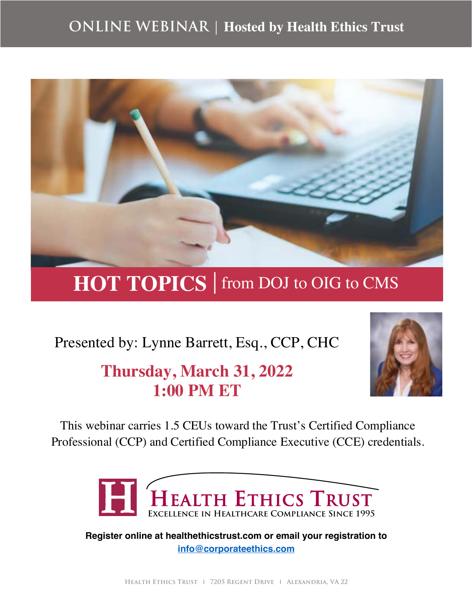#### **ONLINE WEBINAR | Hosted by Health Ethics Trust** *Presented by Lynn Barrett, Esq., CCP,CHC*  **ONLINE WEBINAR | Hosted by Health Ethics Trust**



# **HOT TOPICS** | from DOJ to OIG to CMS

Presented by: Lynne Barrett, Esq., CCP, CHC

## **Thursday, March 31, 2022 1:00 PM ET**



This webinar carries 1.5 CEUs toward the Trust's Certified Compliance Professional (CCP) and Certified Compliance Executive (CCE) credentials.



**Register online at healthethicstrust.com or email your registration to info@corporateethics.com**